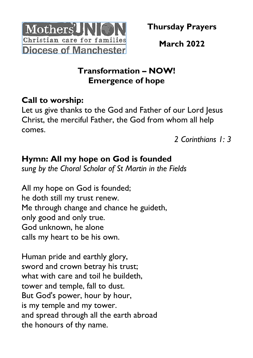

**March 2022**

## **Transformation – NOW! Emergence of hope**

## **Call to worship:**

Let us give thanks to the God and Father of our Lord Jesus Christ, the merciful Father, the God from whom all help comes.

*2 Corinthians 1: 3*

## **Hymn: All my hope on God is founded**

*sung by the Choral Scholar of St Martin in the Fields*

All my hope on God is founded; he doth still my trust renew. Me through change and chance he guideth, only good and only true. God unknown, he alone calls my heart to be his own.

Human pride and earthly glory, sword and crown betray his trust; what with care and toil he buildeth. tower and temple, fall to dust. But God's power, hour by hour, is my temple and my tower. and spread through all the earth abroad the honours of thy name.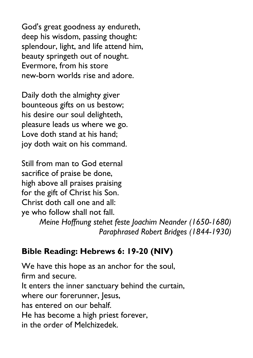God's great goodness ay endureth, deep his wisdom, passing thought: splendour, light, and life attend him, beauty springeth out of nought. Evermore, from his store new-born worlds rise and adore.

Daily doth the almighty giver bounteous gifts on us bestow; his desire our soul delighteth, pleasure leads us where we go. Love doth stand at his hand; joy doth wait on his command.

Still from man to God eternal sacrifice of praise be done, high above all praises praising for the gift of Christ his Son. Christ doth call one and all: ye who follow shall not fall.

*Meine Hoffnung stehet feste Joachim Neander (1650-1680) Paraphrased Robert Bridges (1844-1930)*

## **Bible Reading: Hebrews 6: 19-20 (NIV)**

We have this hope as an anchor for the soul, firm and secure. It enters the inner sanctuary behind the curtain, where our forerunner, Jesus, has entered on our behalf. He has become a high priest forever, in the order of Melchizedek.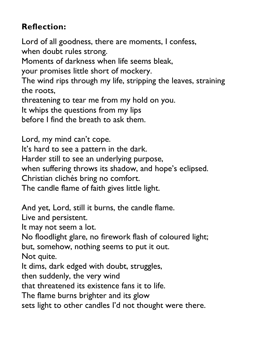# **Reflection:**

Lord of all goodness, there are moments, I confess, when doubt rules strong.

Moments of darkness when life seems bleak,

your promises little short of mockery.

The wind rips through my life, stripping the leaves, straining the roots,

threatening to tear me from my hold on you.

It whips the questions from my lips

before I find the breath to ask them.

Lord, my mind can't cope. It's hard to see a pattern in the dark. Harder still to see an underlying purpose, when suffering throws its shadow, and hope's eclipsed. Christian clichés bring no comfort. The candle flame of faith gives little light.

And yet, Lord, still it burns, the candle flame.

Live and persistent.

It may not seem a lot.

No floodlight glare, no firework flash of coloured light;

but, somehow, nothing seems to put it out.

Not quite.

It dims, dark edged with doubt, struggles,

then suddenly, the very wind

that threatened its existence fans it to life.

The flame burns brighter and its glow

sets light to other candles I'd not thought were there.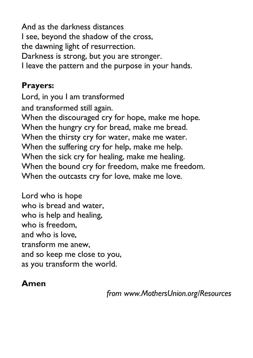And as the darkness distances I see, beyond the shadow of the cross, the dawning light of resurrection. Darkness is strong, but you are stronger. I leave the pattern and the purpose in your hands.

#### **Prayers:**

Lord, in you I am transformed and transformed still again. When the discouraged cry for hope, make me hope. When the hungry cry for bread, make me bread. When the thirsty cry for water, make me water. When the suffering cry for help, make me help. When the sick cry for healing, make me healing. When the bound cry for freedom, make me freedom. When the outcasts cry for love, make me love.

Lord who is hope who is bread and water, who is help and healing, who is freedom. and who is love, transform me anew, and so keep me close to you, as you transform the world.

## **Amen**

*from www.MothersUnion.org/Resources*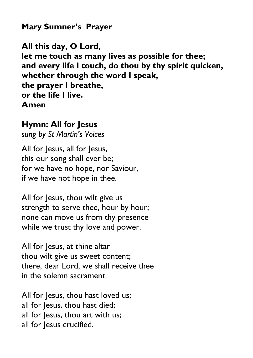**Mary Sumner's Prayer**

**All this day, O Lord, let me touch as many lives as possible for thee; and every life I touch, do thou by thy spirit quicken, whether through the word I speak, the prayer I breathe, or the life I live. Amen**

#### **Hymn: All for Jesus**

*sung by St Martin's Voices*

All for Jesus, all for Jesus, this our song shall ever be; for we have no hope, nor Saviour, if we have not hope in thee.

All for Jesus, thou wilt give us strength to serve thee, hour by hour; none can move us from thy presence while we trust thy love and power.

All for Jesus, at thine altar thou wilt give us sweet content; there, dear Lord, we shall receive thee in the solemn sacrament.

All for Jesus, thou hast loved us; all for Jesus, thou hast died; all for Jesus, thou art with us; all for Jesus crucified.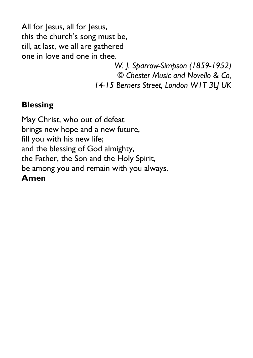All for Jesus, all for Jesus, this the church's song must be, till, at last, we all are gathered one in love and one in thee.

> *W. J. Sparrow-Simpson (1859-1952) © Chester Music and Novello & Co, 14-15 Berners Street, London W1T 3LJ UK*

#### **Blessing**

May Christ, who out of defeat brings new hope and a new future, fill you with his new life; and the blessing of God almighty, the Father, the Son and the Holy Spirit, be among you and remain with you always. **Amen**